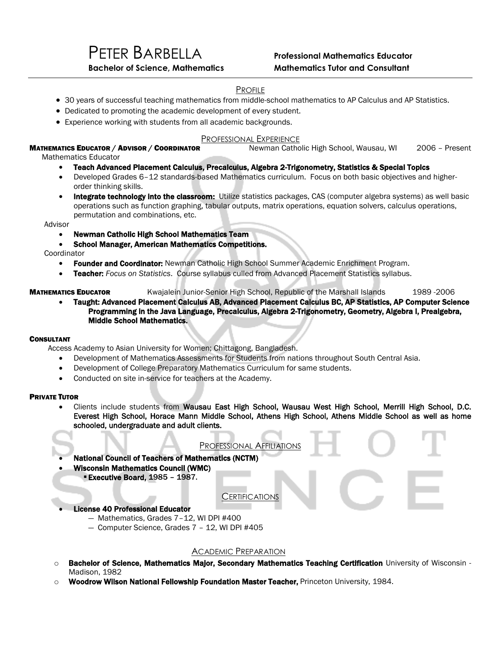# PROFILE

- 30 years of successful teaching mathematics from middle-school mathematics to AP Calculus and AP Statistics.
- Dedicated to promoting the academic development of every student.
- Experience working with students from all academic backgrounds.

# PROFESSIONAL EXPERIENCE<br>Newman Catholic High School, Wausau, WI

## MATHEMATICS EDUCATOR / ADVISOR / COORDINATOR Newman Catholic High School, Wausau, WI 2006 - Present

Mathematics Educator

- Teach Advanced Placement Calculus, Precalculus, Algebra 2-Trigonometry, Statistics & Special Topics
- Developed Grades 6–12 standards-based Mathematics curriculum. Focus on both basic objectives and higherorder thinking skills.
- Integrate technology into the classroom: Utilize statistics packages, CAS (computer algebra systems) as well basic operations such as function graphing, tabular outputs, matrix operations, equation solvers, calculus operations, permutation and combinations, etc.

Advisor

- Newman Catholic High School Mathematics Team
- School Manager, American Mathematics Competitions.

**Coordinator** 

- Founder and Coordinator: Newman Catholic High School Summer Academic Enrichment Program.
- Teacher: *Focus on Statistics*. Course syllabus culled from Advanced Placement Statistics syllabus.

## MATHEMATICS EDUCATOR Kwajalein Junior-Senior High School, Republic of the Marshall Islands 1989 -2006

 Taught: Advanced Placement Calculus AB, Advanced Placement Calculus BC, AP Statistics, AP Computer Science Programming in the Java Language, Precalculus, Algebra 2-Trigonometry, Geometry, Algebra I, Prealgebra, Middle School Mathematics.

#### **CONSULTANT**

Access Academy to Asian University for Women; Chittagong, Bangladesh.

- Development of Mathematics Assessments for Students from nations throughout South Central Asia.
- Development of College Preparatory Mathematics Curriculum for same students.
- Conducted on site in-service for teachers at the Academy.

#### PRIVATE TUTOR

 Clients include students from Wausau East High School, Wausau West High School, Merrill High School, D.C. Everest High School, Horace Mann Middle School, Athens High School, Athens Middle School as well as home schooled, undergraduate and adult clients. سه **Contract** 

| <b>National Council of Teachers of Mathematics (NCTM)</b>                                                                            | PROFESSIONAL AFFILIATIONS |  |
|--------------------------------------------------------------------------------------------------------------------------------------|---------------------------|--|
| <b>Wisconsin Mathematics Council (WMC)</b><br><b>Executive Board, 1985 - 1987.</b>                                                   |                           |  |
|                                                                                                                                      | <b>CERTIFICATIONS</b>     |  |
| <b>License 40 Professional Educator</b><br>- Mathematics, Grades 7-12, WI DPI #400<br>- Computer Science, Grades 7 - 12, WI DPI #405 |                           |  |

## ACADEMIC PREPARATION

- o Bachelor of Science, Mathematics Major, Secondary Mathematics Teaching Certification University of Wisconsin -Madison, 1982
- Woodrow Wilson National Fellowship Foundation Master Teacher, Princeton University, 1984.